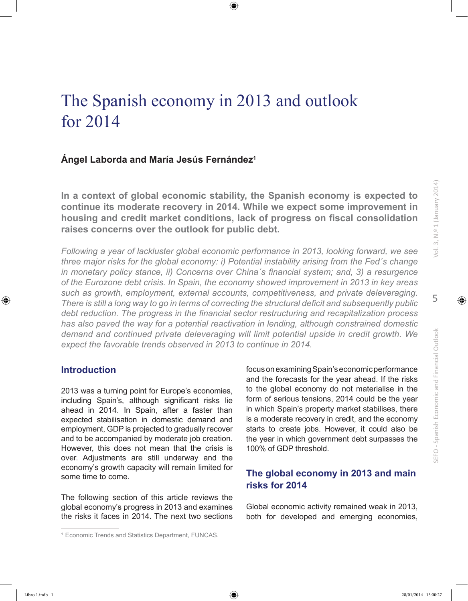# The Spanish economy in 2013 and outlook for 2014

## **Ángel Laborda and María Jesús Fernández1**

**In a context of global economic stability, the Spanish economy is expected to continue its moderate recovery in 2014. While we expect some improvement in housing and credit market conditions, lack of progress on fiscal consolidation raises concerns over the outlook for public debt.**

*Following a year of lackluster global economic performance in 2013, looking forward, we see three major risks for the global economy: i) Potential instability arising from the Fed´s change in monetary policy stance, ii) Concerns over China´s financial system; and, 3) a resurgence of the Eurozone debt crisis. In Spain, the economy showed improvement in 2013 in key areas such as growth, employment, external accounts, competitiveness, and private deleveraging. There is still a long way to go in terms of correcting the structural deficit and subsequently public debt reduction. The progress in the financial sector restructuring and recapitalization process has also paved the way for a potential reactivation in lending, although constrained domestic demand and continued private deleveraging will limit potential upside in credit growth. We expect the favorable trends observed in 2013 to continue in 2014.*

## **Introduction**

2013 was a turning point for Europe's economies, including Spain's, although significant risks lie ahead in 2014. In Spain, after a faster than expected stabilisation in domestic demand and employment, GDP is projected to gradually recover and to be accompanied by moderate job creation. However, this does not mean that the crisis is over. Adjustments are still underway and the economy's growth capacity will remain limited for some time to come.

The following section of this article reviews the global economy's progress in 2013 and examines the risks it faces in 2014. The next two sections focus on examining Spain's economic performance and the forecasts for the year ahead. If the risks to the global economy do not materialise in the form of serious tensions, 2014 could be the year in which Spain's property market stabilises, there is a moderate recovery in credit, and the economy starts to create jobs. However, it could also be the year in which government debt surpasses the 100% of GDP threshold.

## **The global economy in 2013 and main risks for 2014**

Global economic activity remained weak in 2013, both for developed and emerging economies,

<sup>1</sup> Economic Trends and Statistics Department, FUNCAS.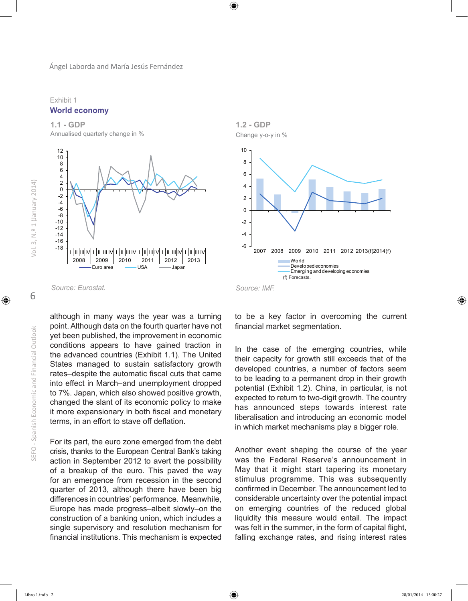### Exhibit 1 **World economy**



although in many ways the year was a turning point. Although data on the fourth quarter have not yet been published, the improvement in economic conditions appears to have gained traction in the advanced countries (Exhibit 1.1). The United States managed to sustain satisfactory growth rates–despite the automatic fiscal cuts that came into effect in March–and unemployment dropped to 7%. Japan, which also showed positive growth, changed the slant of its economic policy to make it more expansionary in both fiscal and monetary terms, in an effort to stave off deflation.

For its part, the euro zone emerged from the debt crisis, thanks to the European Central Bank's taking action in September 2012 to avert the possibility of a breakup of the euro. This paved the way for an emergence from recession in the second quarter of 2013, although there have been big differences in countries' performance. Meanwhile, Europe has made progress–albeit slowly–on the construction of a banking union, which includes a single supervisory and resolution mechanism for financial institutions. This mechanism is expected

to be a key factor in overcoming the current financial market segmentation.

In the case of the emerging countries, while their capacity for growth still exceeds that of the developed countries, a number of factors seem to be leading to a permanent drop in their growth potential (Exhibit 1.2). China, in particular, is not expected to return to two-digit growth. The country has announced steps towards interest rate liberalisation and introducing an economic model in which market mechanisms play a bigger role.

Another event shaping the course of the year was the Federal Reserve's announcement in May that it might start tapering its monetary stimulus programme. This was subsequently confirmed in December. The announcement led to considerable uncertainty over the potential impact on emerging countries of the reduced global liquidity this measure would entail. The impact was felt in the summer, in the form of capital flight, falling exchange rates, and rising interest rates

6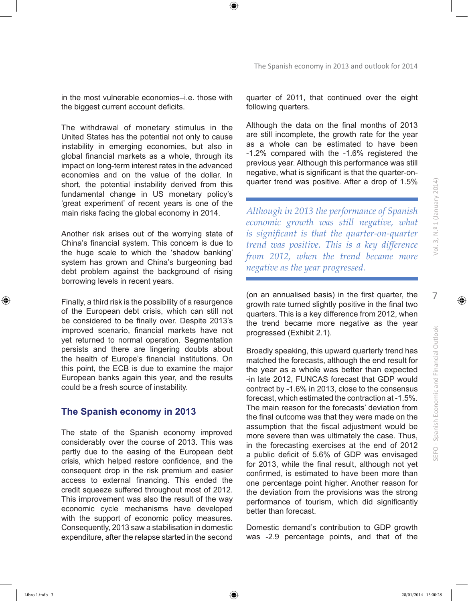SEFO - Spanish Economic and Financial Outlook

in the most vulnerable economies–i.e. those with the biggest current account deficits.

The withdrawal of monetary stimulus in the United States has the potential not only to cause instability in emerging economies, but also in global financial markets as a whole, through its impact on long-term interest rates in the advanced economies and on the value of the dollar. In short, the potential instability derived from this fundamental change in US monetary policy's 'great experiment' of recent years is one of the main risks facing the global economy in 2014.

Another risk arises out of the worrying state of China's financial system. This concern is due to the huge scale to which the 'shadow banking' system has grown and China's burgeoning bad debt problem against the background of rising borrowing levels in recent years.

Finally, a third risk is the possibility of a resurgence of the European debt crisis, which can still not be considered to be finally over. Despite 2013's improved scenario, financial markets have not yet returned to normal operation. Segmentation persists and there are lingering doubts about the health of Europe's financial institutions. On this point, the ECB is due to examine the major European banks again this year, and the results could be a fresh source of instability.

### **The Spanish economy in 2013**

The state of the Spanish economy improved considerably over the course of 2013. This was partly due to the easing of the European debt crisis, which helped restore confidence, and the consequent drop in the risk premium and easier access to external financing. This ended the credit squeeze suffered throughout most of 2012. This improvement was also the result of the way economic cycle mechanisms have developed with the support of economic policy measures. Consequently, 2013 saw a stabilisation in domestic expenditure, after the relapse started in the second quarter of 2011, that continued over the eight following quarters.

Although the data on the final months of 2013 are still incomplete, the growth rate for the year as a whole can be estimated to have been -1.2% compared with the -1.6% registered the previous year. Although this performance was still negative, what is significant is that the quarter-onquarter trend was positive. After a drop of 1.5%

*Although in 2013 the performance of Spanish economic growth was still negative, what is significant is that the quarter-on-quarter trend was positive. This is a key difference from 2012, when the trend became more negative as the year progressed.*

(on an annualised basis) in the first quarter, the growth rate turned slightly positive in the final two quarters. This is a key difference from 2012, when the trend became more negative as the year progressed (Exhibit 2.1).

Broadly speaking, this upward quarterly trend has matched the forecasts, although the end result for the year as a whole was better than expected -in late 2012, FUNCAS forecast that GDP would contract by -1.6% in 2013, close to the consensus forecast, which estimated the contraction at -1.5%. The main reason for the forecasts' deviation from the final outcome was that they were made on the assumption that the fiscal adjustment would be more severe than was ultimately the case. Thus, in the forecasting exercises at the end of 2012 a public deficit of 5.6% of GDP was envisaged for 2013, while the final result, although not yet confirmed, is estimated to have been more than one percentage point higher. Another reason for the deviation from the provisions was the strong performance of tourism, which did significantly better than forecast.

Domestic demand's contribution to GDP growth was -2.9 percentage points, and that of the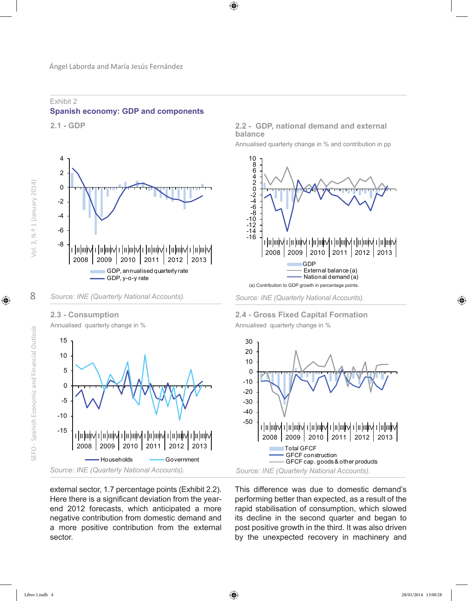

## Exhibit 2 **Spanish economy: GDP and components**

**2.1 - GDP** 



**2.3 - Consumption**

Annualised quarterly change in %



### **2.2 - GDP, national demand and external balance**

Annualised quarterly change in % and contribution in pp



*Source: INE (Quarterly National Accounts).*

**2.4 - Gross Fixed Capital Formation**  Annualised quarterly change in %



external sector, 1.7 percentage points (Exhibit 2.2). Here there is a significant deviation from the yearend 2012 forecasts, which anticipated a more negative contribution from domestic demand and a more positive contribution from the external sector.

This difference was due to domestic demand's performing better than expected, as a result of the rapid stabilisation of consumption, which slowed its decline in the second quarter and began to post positive growth in the third. It was also driven by the unexpected recovery in machinery and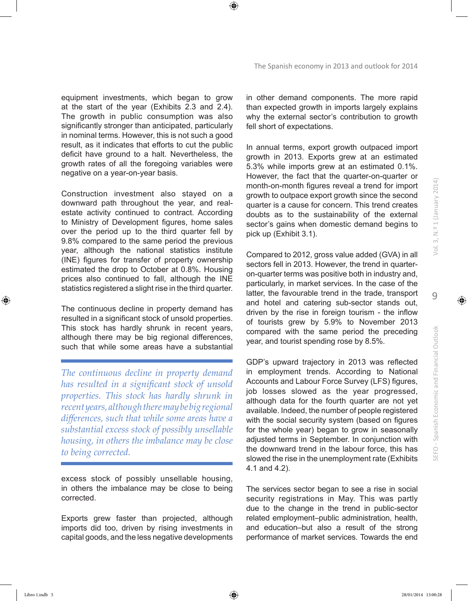equipment investments, which began to grow at the start of the year (Exhibits 2.3 and 2.4). The growth in public consumption was also significantly stronger than anticipated, particularly in nominal terms. However, this is not such a good result, as it indicates that efforts to cut the public deficit have ground to a halt. Nevertheless, the growth rates of all the foregoing variables were negative on a year-on-year basis.

Construction investment also stayed on a downward path throughout the year, and realestate activity continued to contract. According to Ministry of Development figures, home sales over the period up to the third quarter fell by 9.8% compared to the same period the previous year, although the national statistics institute (INE) figures for transfer of property ownership estimated the drop to October at 0.8%. Housing prices also continued to fall, although the INE statistics registered a slight rise in the third quarter.

The continuous decline in property demand has resulted in a significant stock of unsold properties. This stock has hardly shrunk in recent years, although there may be big regional differences, such that while some areas have a substantial

*The continuous decline in property demand has resulted in a significant stock of unsold properties. This stock has hardly shrunk in recent years, although there may be big regional differences, such that while some areas have a substantial excess stock of possibly unsellable housing, in others the imbalance may be close to being corrected.*

excess stock of possibly unsellable housing, in others the imbalance may be close to being corrected.

Exports grew faster than projected, although imports did too, driven by rising investments in capital goods, and the less negative developments in other demand components. The more rapid than expected growth in imports largely explains why the external sector's contribution to growth fell short of expectations.

In annual terms, export growth outpaced import growth in 2013. Exports grew at an estimated 5.3% while imports grew at an estimated 0.1%. However, the fact that the quarter-on-quarter or month-on-month figures reveal a trend for import growth to outpace export growth since the second quarter is a cause for concern. This trend creates doubts as to the sustainability of the external sector's gains when domestic demand begins to pick up (Exhibit 3.1).

Compared to 2012, gross value added (GVA) in all sectors fell in 2013. However, the trend in quarteron-quarter terms was positive both in industry and, particularly, in market services. In the case of the latter, the favourable trend in the trade, transport and hotel and catering sub-sector stands out, driven by the rise in foreign tourism - the inflow of tourists grew by 5.9% to November 2013 compared with the same period the preceding year, and tourist spending rose by 8.5%.

GDP's upward trajectory in 2013 was reflected in employment trends. According to National Accounts and Labour Force Survey (LFS) figures, job losses slowed as the year progressed, although data for the fourth quarter are not yet available. Indeed, the number of people registered with the social security system (based on figures for the whole year) began to grow in seasonally adjusted terms in September. In conjunction with the downward trend in the labour force, this has slowed the rise in the unemployment rate (Exhibits 4.1 and 4.2).

The services sector began to see a rise in social security registrations in May. This was partly due to the change in the trend in public-sector related employment–public administration, health, and education–but also a result of the strong performance of market services. Towards the end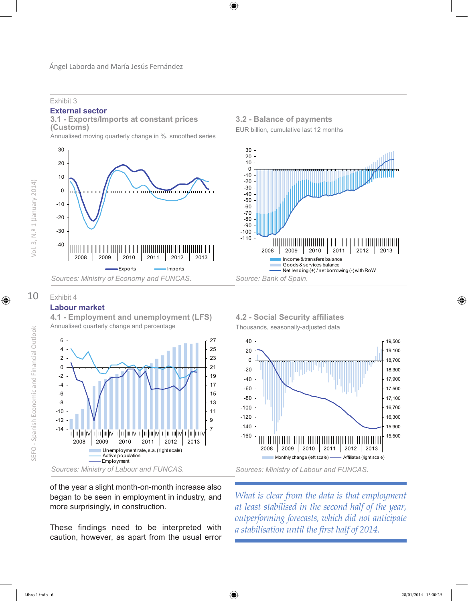Exhibit 3

### **External sector**

**3.1 - Exports/Imports at constant prices (Customs)**

Annualised moving quarterly change in %, smoothed series



## **3.2 - Balance of payments**

EUR billion, cumulative last 12 months



## Exhibit 4

## **Labour market**



**4.1 - Employment and unemployment (LFS)** Annualised quarterly change and percentage

of the year a slight month-on-month increase also began to be seen in employment in industry, and more surprisingly, in construction.

These findings need to be interpreted with caution, however, as apart from the usual error

## **4.2 - Social Security affiliates**





*What is clear from the data is that employment at least stabilised in the second half of the year, outperforming forecasts, which did not anticipate a stabilisation until the first half of 2014.*

10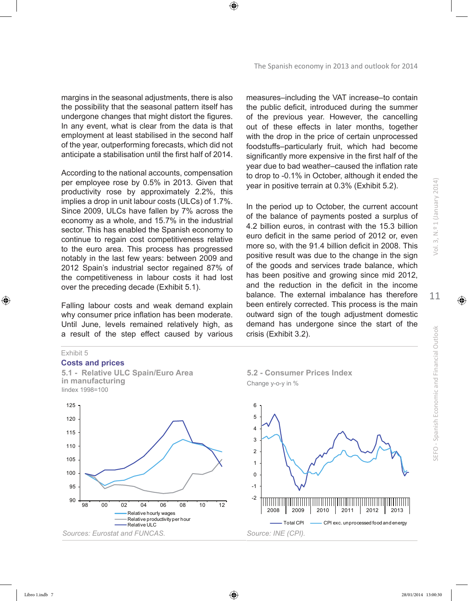margins in the seasonal adjustments, there is also the possibility that the seasonal pattern itself has undergone changes that might distort the figures. In any event, what is clear from the data is that employment at least stabilised in the second half of the year, outperforming forecasts, which did not anticipate a stabilisation until the first half of 2014.

According to the national accounts, compensation per employee rose by 0.5% in 2013. Given that productivity rose by approximately 2.2%, this implies a drop in unit labour costs (ULCs) of 1.7%. Since 2009, ULCs have fallen by 7% across the economy as a whole, and 15.7% in the industrial sector. This has enabled the Spanish economy to continue to regain cost competitiveness relative to the euro area. This process has progressed notably in the last few years: between 2009 and 2012 Spain's industrial sector regained 87% of the competitiveness in labour costs it had lost over the preceding decade (Exhibit 5.1).

Falling labour costs and weak demand explain why consumer price inflation has been moderate. Until June, levels remained relatively high, as a result of the step effect caused by various

### Exhibit 5

#### **Costs and prices**

**5.1 - Relative ULC Spain/Euro Area in manufacturing** Iindex 1998=100



measures–including the VAT increase–to contain the public deficit, introduced during the summer of the previous year. However, the cancelling out of these effects in later months, together with the drop in the price of certain unprocessed foodstuffs–particularly fruit, which had become significantly more expensive in the first half of the year due to bad weather–caused the inflation rate to drop to -0.1% in October, although it ended the year in positive terrain at 0.3% (Exhibit 5.2).

In the period up to October, the current account of the balance of payments posted a surplus of 4.2 billion euros, in contrast with the 15.3 billion euro deficit in the same period of 2012 or, even more so, with the 91.4 billion deficit in 2008. This positive result was due to the change in the sign of the goods and services trade balance, which has been positive and growing since mid 2012, and the reduction in the deficit in the income balance. The external imbalance has therefore been entirely corrected. This process is the main outward sign of the tough adjustment domestic demand has undergone since the start of the crisis (Exhibit 3.2).



**5.2 - Consumer Prices Index**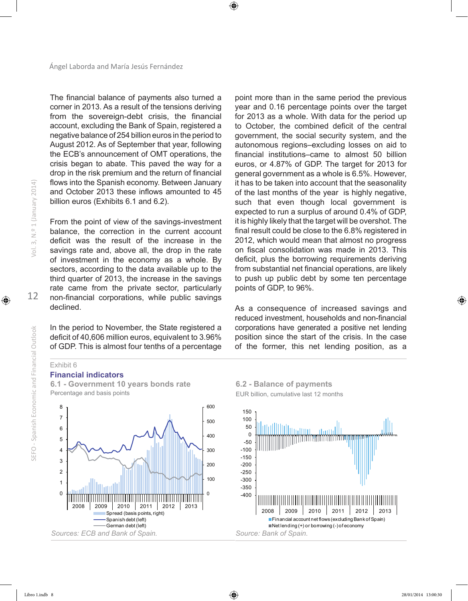The financial balance of payments also turned a corner in 2013. As a result of the tensions deriving from the sovereign-debt crisis, the financial account, excluding the Bank of Spain, registered a negative balance of 254 billion euros in the period to August 2012. As of September that year, following the ECB's announcement of OMT operations, the crisis began to abate. This paved the way for a drop in the risk premium and the return of financial flows into the Spanish economy. Between January and October 2013 these inflows amounted to 45 billion euros (Exhibits 6.1 and 6.2).

From the point of view of the savings-investment balance, the correction in the current account deficit was the result of the increase in the savings rate and, above all, the drop in the rate of investment in the economy as a whole. By sectors, according to the data available up to the third quarter of 2013, the increase in the savings rate came from the private sector, particularly non-financial corporations, while public savings declined.

In the period to November, the State registered a deficit of 40,606 million euros, equivalent to 3.96% of GDP. This is almost four tenths of a percentage

point more than in the same period the previous year and 0.16 percentage points over the target for 2013 as a whole. With data for the period up to October, the combined deficit of the central government, the social security system, and the autonomous regions–excluding losses on aid to financial institutions–came to almost 50 billion euros, or 4.87% of GDP. The target for 2013 for general government as a whole is 6.5%. However, it has to be taken into account that the seasonality of the last months of the year is highly negative, such that even though local government is expected to run a surplus of around 0.4% of GDP, it is highly likely that the target will be overshot. The final result could be close to the 6.8% registered in 2012, which would mean that almost no progress on fiscal consolidation was made in 2013. This deficit, plus the borrowing requirements deriving from substantial net financial operations, are likely to push up public debt by some ten percentage points of GDP, to 96%.

As a consequence of increased savings and reduced investment, households and non-financial corporations have generated a positive net lending position since the start of the crisis. In the case of the former, this net lending position, as a

### Exhibit 6

### **Financial indicators**

**6.1 - Government 10 years bonds rate** Percentage and basis points



**6.2 - Balance of payments** EUR billion, cumulative last 12 months

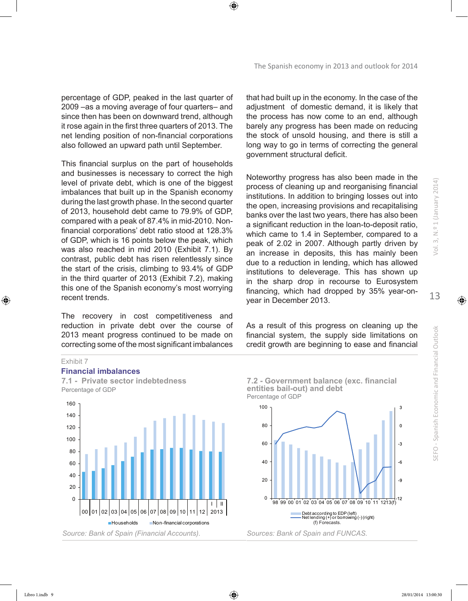percentage of GDP, peaked in the last quarter of 2009 –as a moving average of four quarters– and since then has been on downward trend, although it rose again in the first three quarters of 2013. The net lending position of non-financial corporations also followed an upward path until September.

This financial surplus on the part of households and businesses is necessary to correct the high level of private debt, which is one of the biggest imbalances that built up in the Spanish economy during the last growth phase. In the second quarter of 2013, household debt came to 79.9% of GDP, compared with a peak of 87.4% in mid-2010. Nonfinancial corporations' debt ratio stood at 128.3% of GDP, which is 16 points below the peak, which was also reached in mid 2010 (Exhibit 7.1). By contrast, public debt has risen relentlessly since the start of the crisis, climbing to 93.4% of GDP in the third quarter of 2013 (Exhibit 7.2), making this one of the Spanish economy's most worrying recent trends.

The recovery in cost competitiveness and reduction in private debt over the course of 2013 meant progress continued to be made on correcting some of the most significant imbalances that had built up in the economy. In the case of the adjustment of domestic demand, it is likely that the process has now come to an end, although barely any progress has been made on reducing the stock of unsold housing, and there is still a long way to go in terms of correcting the general government structural deficit.

Noteworthy progress has also been made in the process of cleaning up and reorganising financial institutions. In addition to bringing losses out into the open, increasing provisions and recapitalising banks over the last two years, there has also been a significant reduction in the loan-to-deposit ratio, which came to 1.4 in September, compared to a peak of 2.02 in 2007. Although partly driven by an increase in deposits, this has mainly been due to a reduction in lending, which has allowed institutions to deleverage. This has shown up in the sharp drop in recourse to Eurosystem financing, which had dropped by 35% year-onyear in December 2013.

As a result of this progress on cleaning up the financial system, the supply side limitations on credit growth are beginning to ease and financial

#### Exhibit 7

#### **Financial imbalances**



100 **7.2 - Government balance (exc. financial entities bail-out) and debt**  Percentage of GDP



**SEFO** - Spanish Economic and Financial Outlook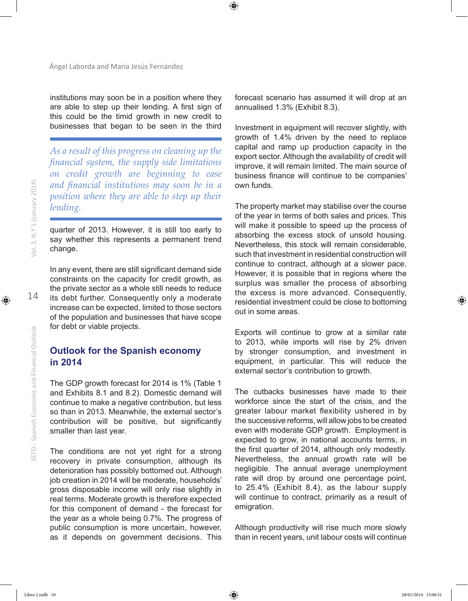institutions may soon be in a position where they are able to step up their lending. A first sign of this could be the timid growth in new credit to businesses that began to be seen in the third

*As a result of this progress on cleaning up the financial system, the supply side limitations on credit growth are beginning to ease and financial institutions may soon be in a position where they are able to step up their lending.*

quarter of 2013. However, it is still too early to say whether this represents a permanent trend change.

In any event, there are still significant demand side constraints on the capacity for credit growth, as the private sector as a whole still needs to reduce its debt further. Consequently only a moderate increase can be expected, limited to those sectors of the population and businesses that have scope for debt or viable projects.

## **Outlook for the Spanish economy in 2014**

The GDP growth forecast for 2014 is 1% (Table 1 and Exhibits 8.1 and 8.2). Domestic demand will continue to make a negative contribution, but less so than in 2013. Meanwhile, the external sector's contribution will be positive, but significantly smaller than last year.

The conditions are not yet right for a strong recovery in private consumption, although its deterioration has possibly bottomed out. Although job creation in 2014 will be moderate, households' gross disposable income will only rise slightly in real terms. Moderate growth is therefore expected for this component of demand - the forecast for the year as a whole being 0.7%. The progress of public consumption is more uncertain, however, as it depends on government decisions. This

forecast scenario has assumed it will drop at an annualised 1.3% (Exhibit 8.3).

Investment in equipment will recover slightly, with growth of 1.4% driven by the need to replace capital and ramp up production capacity in the export sector. Although the availability of credit will improve, it will remain limited. The main source of business finance will continue to be companies' own funds.

The property market may stabilise over the course of the year in terms of both sales and prices. This will make it possible to speed up the process of absorbing the excess stock of unsold housing. Nevertheless, this stock will remain considerable, such that investment in residential construction will continue to contract, although at a slower pace. However, it is possible that in regions where the surplus was smaller the process of absorbing the excess is more advanced. Consequently, residential investment could be close to bottoming out in some areas.

Exports will continue to grow at a similar rate to 2013, while imports will rise by 2% driven by stronger consumption, and investment in equipment, in particular. This will reduce the external sector's contribution to growth.

The cutbacks businesses have made to their workforce since the start of the crisis, and the greater labour market flexibility ushered in by the successive reforms, will allow jobs to be created even with moderate GDP growth. Employment is expected to grow, in national accounts terms, in the first quarter of 2014, although only modestly. Nevertheless, the annual growth rate will be negligible. The annual average unemployment rate will drop by around one percentage point, to 25.4% (Exhibit 8.4), as the labour supply will continue to contract, primarily as a result of emigration.

Although productivity will rise much more slowly than in recent years, unit labour costs will continue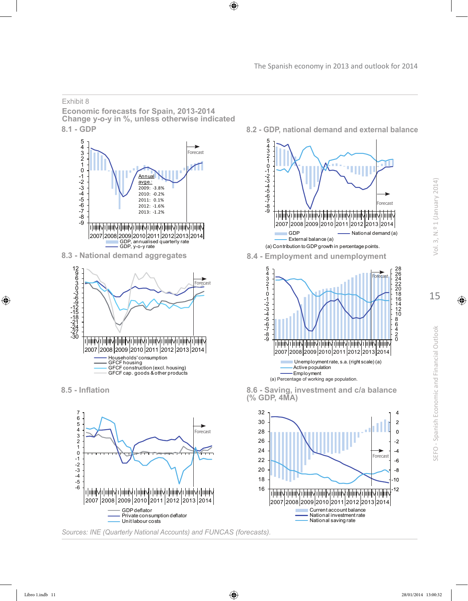### Exhibit 8

**Economic forecasts for Spain, 2013-2014 Change y-o-y in %, unless otherwise indicated** 8.1 - GDP 8.2 - GDP, national demand and external balance







*Sources: INE (Quarterly National Accounts) and FUNCAS (forecasts).*



**8.5 - Inflation 8.6 - Saving, investment and c/a balance (% GDP, 4MA)** 

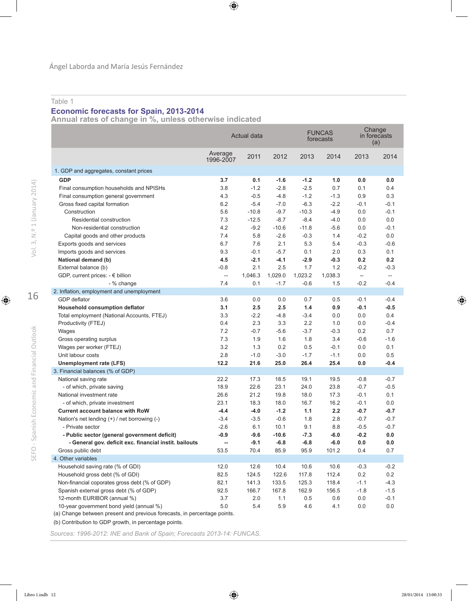### Table 1

### **Economic forecasts for Spain, 2013-2014**

**Annual rates of change in %, unless otherwise indicated**

|                                                                          | Actual data              |         |         | <b>FUNCAS</b><br>forecasts |         | Change<br>in forecasts<br>(a) |                |
|--------------------------------------------------------------------------|--------------------------|---------|---------|----------------------------|---------|-------------------------------|----------------|
|                                                                          | Average<br>1996-2007     | 2011    | 2012    | 2013                       | 2014    | 2013                          | 2014           |
| 1. GDP and aggregates, constant prices                                   |                          |         |         |                            |         |                               |                |
| <b>GDP</b>                                                               | 3.7                      | 0.1     | $-1.6$  | $-1.2$                     | 1.0     | 0.0                           | 0.0            |
| Final consumption households and NPISHs                                  | 3.8                      | $-1.2$  | $-2.8$  | $-2.5$                     | 0.7     | 0.1                           | 0.4            |
| Final consumption general government                                     | 4.3                      | $-0.5$  | $-4.8$  | $-1.2$                     | $-1.3$  | 0.9                           | 0.3            |
| Gross fixed capital formation                                            | 6.2                      | $-5.4$  | $-7.0$  | $-6.3$                     | $-2.2$  | $-0.1$                        | $-0.1$         |
| Construction                                                             | 5.6                      | $-10.8$ | $-9.7$  | $-10.3$                    | $-4.9$  | 0.0                           | $-0.1$         |
| Residential construction                                                 | 7.3                      | $-12.5$ | $-8.7$  | $-8.4$                     | $-4.0$  | 0.0                           | 0.0            |
| Non-residential construction                                             | 4.2                      | $-9.2$  | $-10.6$ | $-11.8$                    | $-5.6$  | 0.0                           | $-0.1$         |
| Capital goods and other products                                         | 7.4                      | 5.8     | $-2.6$  | $-0.3$                     | 1.4     | $-0.2$                        | 0.0            |
| Exports goods and services                                               | 6.7                      | 7.6     | 2.1     | 5.3                        | 5.4     | $-0.3$                        | $-0.6$         |
| Imports goods and services                                               | 9.3                      | $-0.1$  | $-5.7$  | 0.1                        | 2.0     | 0.3                           | 0.1            |
| National demand (b)                                                      | 4.5                      | $-2.1$  | $-4.1$  | $-2.9$                     | $-0.3$  | 0.2                           | 0.2            |
| External balance (b)                                                     | $-0.8$                   | 2.1     | 2.5     | 1.7                        | 1.2     | $-0.2$                        | $-0.3$         |
| GDP, current prices: - € billion                                         | $\overline{\phantom{a}}$ | 1,046.3 | 1.029.0 | 1.023.2                    | 1.038.3 | $\overline{\phantom{0}}$      | $\overline{a}$ |
| - % change                                                               | 7.4                      | 0.1     | $-1.7$  | $-0.6$                     | 1.5     | $-0.2$                        | $-0.4$         |
| 2. Inflation, employment and unemployment                                |                          |         |         |                            |         |                               |                |
| GDP deflator                                                             | 3.6                      | 0.0     | 0.0     | 0.7                        | 0.5     | $-0.1$                        | $-0.4$         |
| Household consumption deflator                                           | 3.1                      | 2.5     | 2.5     | 1.4                        | 0.9     | $-0.1$                        | $-0.5$         |
| Total employment (National Accounts, FTEJ)                               | 3.3                      | $-2.2$  | $-4.8$  | $-3.4$                     | 0.0     | 0.0                           | 0.4            |
| Productivity (FTEJ)                                                      | 0.4                      | 2.3     | 3.3     | 2.2                        | 1.0     | 0.0                           | $-0.4$         |
| Wages                                                                    | 7.2                      | $-0.7$  | $-5.6$  | $-3.7$                     | $-0.3$  | 0.2                           | 0.7            |
| Gross operating surplus                                                  | 7.3                      | 1.9     | 1.6     | 1.8                        | 3.4     | $-0.6$                        | $-1.6$         |
| Wages per worker (FTEJ)                                                  | 3.2                      | 1.3     | 0.2     | 0.5                        | $-0.1$  | 0.0                           | 0.1            |
| Unit labour costs                                                        | 2.8                      | $-1.0$  | $-3.0$  | $-1.7$                     | $-1.1$  | 0.0                           | 0.5            |
| Unemployment rate (LFS)                                                  | 12.2                     | 21.6    | 25.0    | 26.4                       | 25.4    | 0.0                           | $-0.4$         |
| 3. Financial balances (% of GDP)                                         |                          |         |         |                            |         |                               |                |
| National saving rate                                                     | 22.2                     | 17.3    | 18.5    | 19.1                       | 19.5    | $-0.8$                        | $-0.7$         |
| - of which, private saving                                               | 18.9                     | 22.6    | 23.1    | 24.0                       | 23.8    | $-0.7$                        | $-0.5$         |
| National investment rate                                                 | 26.6                     | 21.2    | 19.8    | 18.0                       | 17.3    | $-0.1$                        | 0.1            |
| - of which, private investment                                           | 23.1                     | 18.3    | 18.0    | 16.7                       | 16.2    | $-0.1$                        | 0.0            |
| <b>Current account balance with RoW</b>                                  | $-4.4$                   | $-4.0$  | $-1.2$  | 1.1                        | 2.2     | $-0.7$                        | -0.7           |
| Nation's net lending (+) / net borrowing (-)                             | $-3.4$                   | $-3.5$  | $-0.6$  | 1.8                        | 2.8     | $-0.7$                        | $-0.7$         |
| - Private sector                                                         | $-2.6$                   | 6.1     | 10.1    | 9.1                        | 8.8     | $-0.5$                        | $-0.7$         |
| - Public sector (general government deficit)                             | $-0.9$                   | $-9.6$  | $-10.6$ | $-7.3$                     | $-6.0$  | $-0.2$                        | 0.0            |
| - General gov. deficit exc. financial instit. bailouts                   | --                       | $-9.1$  | $-6.8$  | $-6.8$                     | $-6.0$  | 0.0                           | 0.0            |
| Gross public debt                                                        | 53.5                     | 70.4    | 85.9    | 95.9                       | 101.2   | 0.4                           | 0.7            |
| 4. Other variables                                                       |                          |         |         |                            |         |                               |                |
| Household saving rate (% of GDI)                                         | 12.0                     | 12.6    | 10.4    | 10.6                       | 10.6    | $-0.3$                        | $-0.2$         |
| Household gross debt (% of GDI)                                          | 82.5                     | 124.5   | 122.6   | 117.8                      | 112.4   | 0.2                           | 0.2            |
| Non-financial coporates gross debt (% of GDP)                            | 82.1                     | 141.3   | 133.5   | 125.3                      | 118.4   | $-1.1$                        | $-4.3$         |
| Spanish external gross debt (% of GDP)                                   | 92.5                     | 166.7   | 167.8   | 162.9                      | 156.5   | $-1.8$                        | $-1.5$         |
| 12-month EURIBOR (annual %)                                              | 3.7                      | 2.0     | 1.1     | 0.5                        | 0.6     | 0.0                           | $-0.1$         |
| 10-year government bond yield (annual %)                                 | 5.0                      | 5.4     | 5.9     | 4.6                        | 4.1     | 0.0                           | 0.0            |
| (a) Change between present and previous forecasts, in percentage points. |                          |         |         |                            |         |                               |                |

(b) Contribution to GDP growth, in percentage points.

*Sources: 1996-2012: INE and Bank of Spain; Forecasts 2013-14: FUNCAS.*